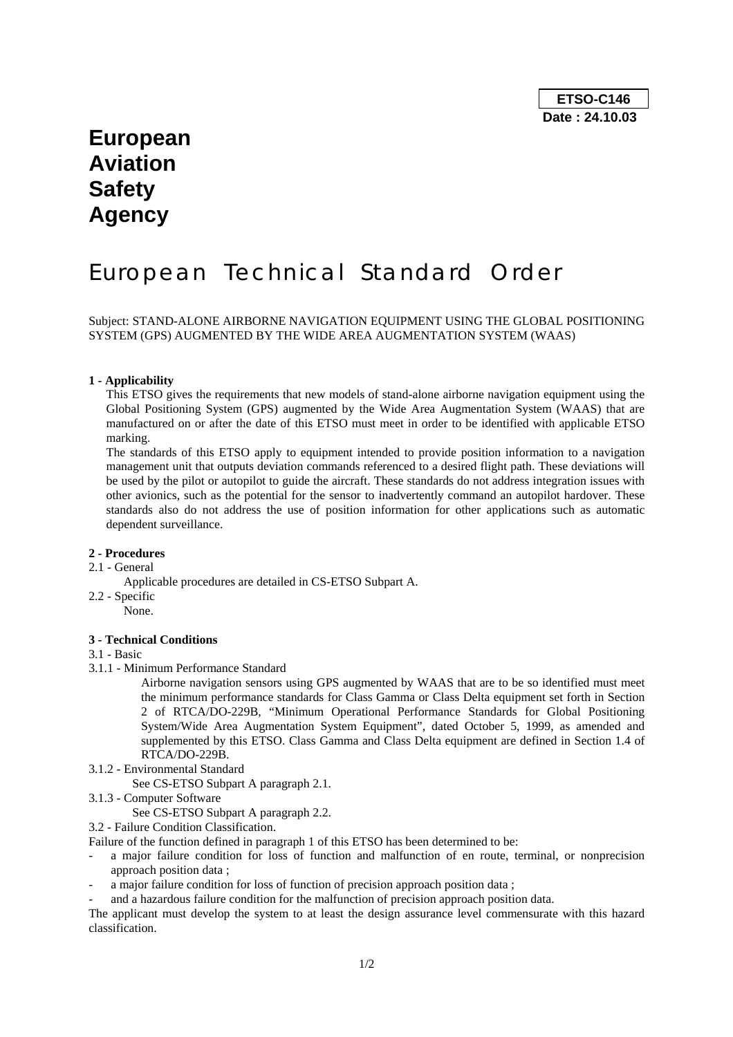## **European Aviation Safety Agency**

# European Technical Standard Order

Subject: STAND-ALONE AIRBORNE NAVIGATION EQUIPMENT USING THE GLOBAL POSITIONING SYSTEM (GPS) AUGMENTED BY THE WIDE AREA AUGMENTATION SYSTEM (WAAS)

#### **1 - Applicability**

This ETSO gives the requirements that new models of stand-alone airborne navigation equipment using the Global Positioning System (GPS) augmented by the Wide Area Augmentation System (WAAS) that are manufactured on or after the date of this ETSO must meet in order to be identified with applicable ETSO marking.

The standards of this ETSO apply to equipment intended to provide position information to a navigation management unit that outputs deviation commands referenced to a desired flight path. These deviations will be used by the pilot or autopilot to guide the aircraft. These standards do not address integration issues with other avionics, such as the potential for the sensor to inadvertently command an autopilot hardover. These standards also do not address the use of position information for other applications such as automatic dependent surveillance.

#### **2 - Procedures**

- 2.1 General
	- Applicable procedures are detailed in CS-ETSO Subpart A.
- 2.2 Specific
	- None.

#### **3 - Technical Conditions**

#### 3.1 - Basic

3.1.1 - Minimum Performance Standard

Airborne navigation sensors using GPS augmented by WAAS that are to be so identified must meet the minimum performance standards for Class Gamma or Class Delta equipment set forth in Section 2 of RTCA/DO-229B, "Minimum Operational Performance Standards for Global Positioning System/Wide Area Augmentation System Equipment", dated October 5, 1999, as amended and supplemented by this ETSO. Class Gamma and Class Delta equipment are defined in Section 1.4 of RTCA/DO-229B.

3.1.2 - Environmental Standard

See CS-ETSO Subpart A paragraph 2.1.

3.1.3 - Computer Software

See CS-ETSO Subpart A paragraph 2.2.

3.2 - Failure Condition Classification.

Failure of the function defined in paragraph 1 of this ETSO has been determined to be:

- a major failure condition for loss of function and malfunction of en route, terminal, or nonprecision approach position data ;
- a major failure condition for loss of function of precision approach position data:
- and a hazardous failure condition for the malfunction of precision approach position data.

The applicant must develop the system to at least the design assurance level commensurate with this hazard classification.